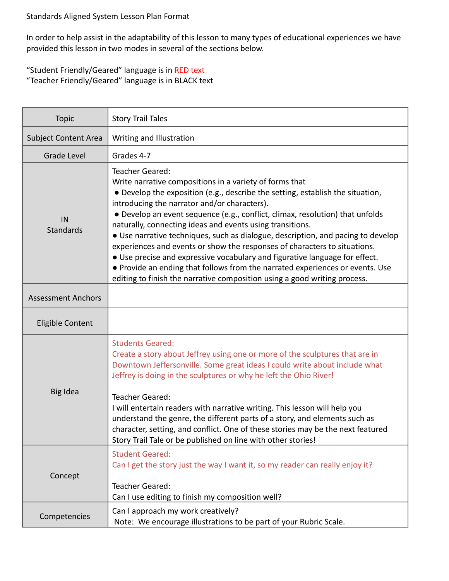In order to help assist in the adaptability of this lesson to many types of educational experiences we have provided this lesson in two modes in several of the sections below.

## "Student Friendly/Geared" language is in RED text "Teacher Friendly/Geared" language is in BLACK text

| <b>Topic</b>                | <b>Story Trail Tales</b>                                                                                                                                                                                                                                                                                                                                                                                                                                                                                                                                                                                                                                                                                                                                                        |
|-----------------------------|---------------------------------------------------------------------------------------------------------------------------------------------------------------------------------------------------------------------------------------------------------------------------------------------------------------------------------------------------------------------------------------------------------------------------------------------------------------------------------------------------------------------------------------------------------------------------------------------------------------------------------------------------------------------------------------------------------------------------------------------------------------------------------|
| <b>Subject Content Area</b> | Writing and Illustration                                                                                                                                                                                                                                                                                                                                                                                                                                                                                                                                                                                                                                                                                                                                                        |
| Grade Level                 | Grades 4-7                                                                                                                                                                                                                                                                                                                                                                                                                                                                                                                                                                                                                                                                                                                                                                      |
| IN<br><b>Standards</b>      | <b>Teacher Geared:</b><br>Write narrative compositions in a variety of forms that<br>• Develop the exposition (e.g., describe the setting, establish the situation,<br>introducing the narrator and/or characters).<br>• Develop an event sequence (e.g., conflict, climax, resolution) that unfolds<br>naturally, connecting ideas and events using transitions.<br>• Use narrative techniques, such as dialogue, description, and pacing to develop<br>experiences and events or show the responses of characters to situations.<br>• Use precise and expressive vocabulary and figurative language for effect.<br>. Provide an ending that follows from the narrated experiences or events. Use<br>editing to finish the narrative composition using a good writing process. |
| <b>Assessment Anchors</b>   |                                                                                                                                                                                                                                                                                                                                                                                                                                                                                                                                                                                                                                                                                                                                                                                 |
| <b>Eligible Content</b>     |                                                                                                                                                                                                                                                                                                                                                                                                                                                                                                                                                                                                                                                                                                                                                                                 |
| Big Idea                    | <b>Students Geared:</b><br>Create a story about Jeffrey using one or more of the sculptures that are in<br>Downtown Jeffersonville. Some great ideas I could write about include what<br>Jeffrey is doing in the sculptures or why he left the Ohio River!<br><b>Teacher Geared:</b><br>I will entertain readers with narrative writing. This lesson will help you<br>understand the genre, the different parts of a story, and elements such as<br>character, setting, and conflict. One of these stories may be the next featured<br>Story Trail Tale or be published on line with other stories!                                                                                                                                                                             |
| Concept                     | <b>Student Geared:</b><br>Can I get the story just the way I want it, so my reader can really enjoy it?<br><b>Teacher Geared:</b><br>Can I use editing to finish my composition well?                                                                                                                                                                                                                                                                                                                                                                                                                                                                                                                                                                                           |
| Competencies                | Can I approach my work creatively?<br>Note: We encourage illustrations to be part of your Rubric Scale.                                                                                                                                                                                                                                                                                                                                                                                                                                                                                                                                                                                                                                                                         |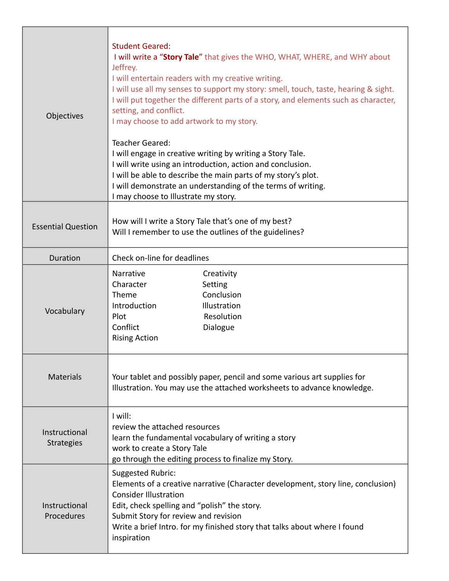| Objectives                         | <b>Student Geared:</b><br>I will write a "Story Tale" that gives the WHO, WHAT, WHERE, and WHY about<br>Jeffrey.<br>I will entertain readers with my creative writing.<br>I will use all my senses to support my story: smell, touch, taste, hearing & sight.<br>I will put together the different parts of a story, and elements such as character,<br>setting, and conflict.<br>I may choose to add artwork to my story.<br><b>Teacher Geared:</b><br>I will engage in creative writing by writing a Story Tale.<br>I will write using an introduction, action and conclusion.<br>I will be able to describe the main parts of my story's plot.<br>I will demonstrate an understanding of the terms of writing.<br>I may choose to Illustrate my story. |
|------------------------------------|-----------------------------------------------------------------------------------------------------------------------------------------------------------------------------------------------------------------------------------------------------------------------------------------------------------------------------------------------------------------------------------------------------------------------------------------------------------------------------------------------------------------------------------------------------------------------------------------------------------------------------------------------------------------------------------------------------------------------------------------------------------|
| <b>Essential Question</b>          | How will I write a Story Tale that's one of my best?<br>Will I remember to use the outlines of the guidelines?                                                                                                                                                                                                                                                                                                                                                                                                                                                                                                                                                                                                                                            |
| <b>Duration</b>                    | Check on-line for deadlines                                                                                                                                                                                                                                                                                                                                                                                                                                                                                                                                                                                                                                                                                                                               |
| Vocabulary                         | <b>Narrative</b><br>Creativity<br>Character<br>Setting<br>Theme<br>Conclusion<br>Introduction<br>Illustration<br>Plot<br>Resolution<br>Conflict<br>Dialogue<br><b>Rising Action</b>                                                                                                                                                                                                                                                                                                                                                                                                                                                                                                                                                                       |
| <b>Materials</b>                   | Your tablet and possibly paper, pencil and some various art supplies for<br>Illustration. You may use the attached worksheets to advance knowledge.                                                                                                                                                                                                                                                                                                                                                                                                                                                                                                                                                                                                       |
| Instructional<br><b>Strategies</b> | I will:<br>review the attached resources<br>learn the fundamental vocabulary of writing a story<br>work to create a Story Tale<br>go through the editing process to finalize my Story.                                                                                                                                                                                                                                                                                                                                                                                                                                                                                                                                                                    |
| Instructional<br>Procedures        | Suggested Rubric:<br>Elements of a creative narrative (Character development, story line, conclusion)<br><b>Consider Illustration</b><br>Edit, check spelling and "polish" the story.<br>Submit Story for review and revision<br>Write a brief Intro. for my finished story that talks about where I found<br>inspiration                                                                                                                                                                                                                                                                                                                                                                                                                                 |